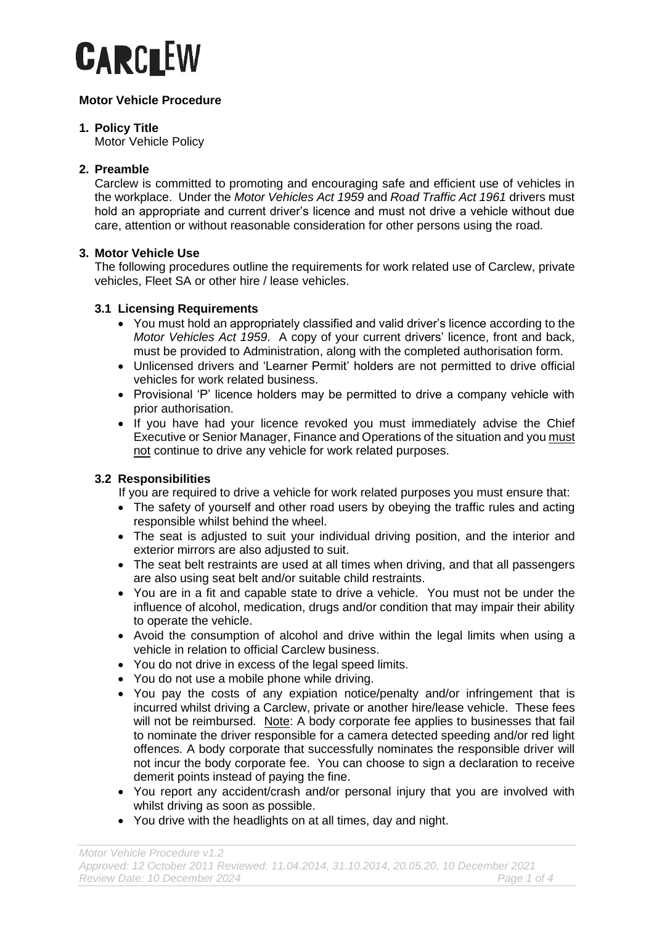

# **Motor Vehicle Procedure**

# **1. Policy Title**

Motor Vehicle Policy

# **2. Preamble**

Carclew is committed to promoting and encouraging safe and efficient use of vehicles in the workplace. Under the *Motor Vehicles Act 1959* and *Road Traffic Act 1961* drivers must hold an appropriate and current driver's licence and must not drive a vehicle without due care, attention or without reasonable consideration for other persons using the road.

# **3. Motor Vehicle Use**

The following procedures outline the requirements for work related use of Carclew, private vehicles, Fleet SA or other hire / lease vehicles.

# **3.1 Licensing Requirements**

- You must hold an appropriately classified and valid driver's licence according to the *Motor Vehicles Act 1959*. A copy of your current drivers' licence, front and back, must be provided to Administration, along with the completed authorisation form.
- Unlicensed drivers and 'Learner Permit' holders are not permitted to drive official vehicles for work related business.
- Provisional 'P' licence holders may be permitted to drive a company vehicle with prior authorisation.
- If you have had your licence revoked you must immediately advise the Chief Executive or Senior Manager, Finance and Operations of the situation and you must not continue to drive any vehicle for work related purposes.

# **3.2 Responsibilities**

If you are required to drive a vehicle for work related purposes you must ensure that:

- The safety of yourself and other road users by obeying the traffic rules and acting responsible whilst behind the wheel.
- The seat is adjusted to suit your individual driving position, and the interior and exterior mirrors are also adjusted to suit.
- The seat belt restraints are used at all times when driving, and that all passengers are also using seat belt and/or suitable child restraints.
- You are in a fit and capable state to drive a vehicle. You must not be under the influence of alcohol, medication, drugs and/or condition that may impair their ability to operate the vehicle.
- Avoid the consumption of alcohol and drive within the legal limits when using a vehicle in relation to official Carclew business.
- You do not drive in excess of the legal speed limits.
- You do not use a mobile phone while driving.
- You pay the costs of any expiation notice/penalty and/or infringement that is incurred whilst driving a Carclew, private or another hire/lease vehicle. These fees will not be reimbursed. Note: A body corporate fee applies to businesses that fail to nominate the driver responsible for a camera detected speeding and/or red light offences. A body corporate that successfully nominates the responsible driver will not incur the body corporate fee. You can choose to sign a declaration to receive demerit points instead of paying the fine.
- You report any accident/crash and/or personal injury that you are involved with whilst driving as soon as possible.
- You drive with the headlights on at all times, day and night.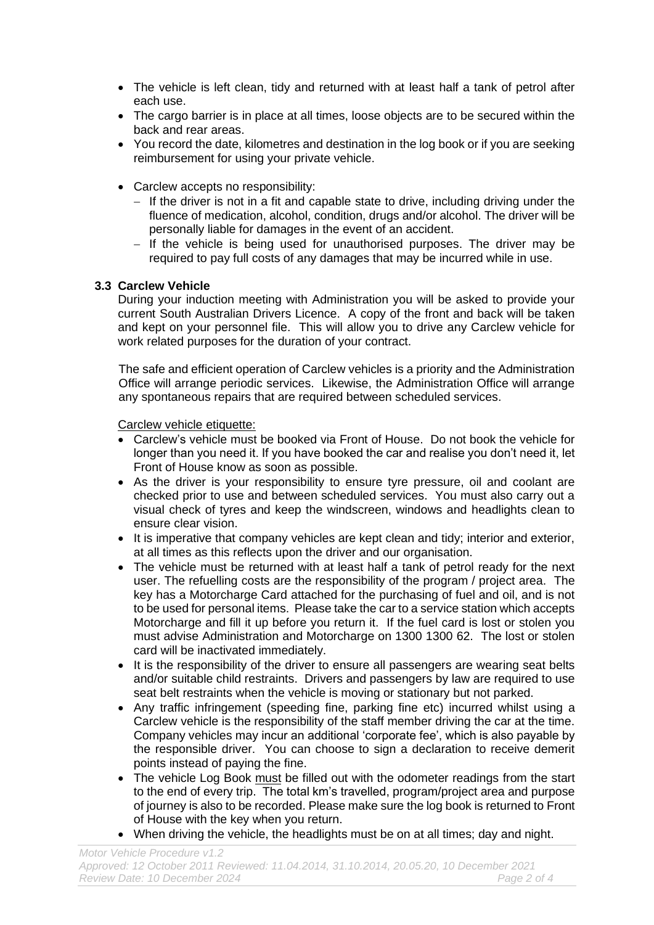- The vehicle is left clean, tidy and returned with at least half a tank of petrol after each use.
- The cargo barrier is in place at all times, loose objects are to be secured within the back and rear areas.
- You record the date, kilometres and destination in the log book or if you are seeking reimbursement for using your private vehicle.
- Carclew accepts no responsibility:
	- − If the driver is not in a fit and capable state to drive, including driving under the fluence of medication, alcohol, condition, drugs and/or alcohol. The driver will be personally liable for damages in the event of an accident.
	- − If the vehicle is being used for unauthorised purposes. The driver may be required to pay full costs of any damages that may be incurred while in use.

# **3.3 Carclew Vehicle**

During your induction meeting with Administration you will be asked to provide your current South Australian Drivers Licence. A copy of the front and back will be taken and kept on your personnel file. This will allow you to drive any Carclew vehicle for work related purposes for the duration of your contract.

The safe and efficient operation of Carclew vehicles is a priority and the Administration Office will arrange periodic services. Likewise, the Administration Office will arrange any spontaneous repairs that are required between scheduled services.

Carclew vehicle etiquette:

- Carclew's vehicle must be booked via Front of House. Do not book the vehicle for longer than you need it. If you have booked the car and realise you don't need it, let Front of House know as soon as possible.
- As the driver is your responsibility to ensure tyre pressure, oil and coolant are checked prior to use and between scheduled services. You must also carry out a visual check of tyres and keep the windscreen, windows and headlights clean to ensure clear vision.
- It is imperative that company vehicles are kept clean and tidy; interior and exterior, at all times as this reflects upon the driver and our organisation.
- The vehicle must be returned with at least half a tank of petrol ready for the next user. The refuelling costs are the responsibility of the program / project area. The key has a Motorcharge Card attached for the purchasing of fuel and oil, and is not to be used for personal items. Please take the car to a service station which accepts Motorcharge and fill it up before you return it. If the fuel card is lost or stolen you must advise Administration and Motorcharge on 1300 1300 62. The lost or stolen card will be inactivated immediately.
- It is the responsibility of the driver to ensure all passengers are wearing seat belts and/or suitable child restraints. Drivers and passengers by law are required to use seat belt restraints when the vehicle is moving or stationary but not parked.
- Any traffic infringement (speeding fine, parking fine etc) incurred whilst using a Carclew vehicle is the responsibility of the staff member driving the car at the time. Company vehicles may incur an additional 'corporate fee', which is also payable by the responsible driver. You can choose to sign a declaration to receive demerit points instead of paying the fine.
- The vehicle Log Book must be filled out with the odometer readings from the start to the end of every trip. The total km's travelled, program/project area and purpose of journey is also to be recorded. Please make sure the log book is returned to Front of House with the key when you return.
- When driving the vehicle, the headlights must be on at all times; day and night.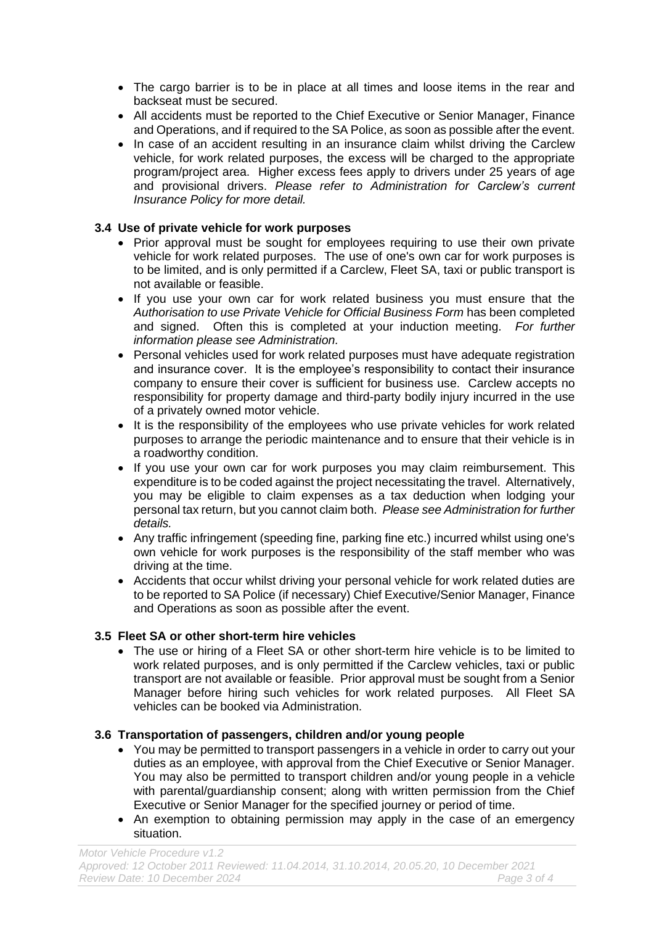- The cargo barrier is to be in place at all times and loose items in the rear and backseat must be secured.
- All accidents must be reported to the Chief Executive or Senior Manager, Finance and Operations, and if required to the SA Police, as soon as possible after the event.
- In case of an accident resulting in an insurance claim whilst driving the Carclew vehicle, for work related purposes, the excess will be charged to the appropriate program/project area. Higher excess fees apply to drivers under 25 years of age and provisional drivers. *Please refer to Administration for Carclew's current Insurance Policy for more detail.*

### **3.4 Use of private vehicle for work purposes**

- Prior approval must be sought for employees requiring to use their own private vehicle for work related purposes. The use of one's own car for work purposes is to be limited, and is only permitted if a Carclew, Fleet SA, taxi or public transport is not available or feasible.
- If you use your own car for work related business you must ensure that the *Authorisation to use Private Vehicle for Official Business Form* has been completed and signed. Often this is completed at your induction meeting. *For further information please see Administration.*
- Personal vehicles used for work related purposes must have adequate registration and insurance cover. It is the employee's responsibility to contact their insurance company to ensure their cover is sufficient for business use. Carclew accepts no responsibility for property damage and third-party bodily injury incurred in the use of a privately owned motor vehicle.
- It is the responsibility of the employees who use private vehicles for work related purposes to arrange the periodic maintenance and to ensure that their vehicle is in a roadworthy condition.
- If you use your own car for work purposes you may claim reimbursement. This expenditure is to be coded against the project necessitating the travel. Alternatively, you may be eligible to claim expenses as a tax deduction when lodging your personal tax return, but you cannot claim both. *Please see Administration for further details.*
- Any traffic infringement (speeding fine, parking fine etc.) incurred whilst using one's own vehicle for work purposes is the responsibility of the staff member who was driving at the time.
- Accidents that occur whilst driving your personal vehicle for work related duties are to be reported to SA Police (if necessary) Chief Executive/Senior Manager, Finance and Operations as soon as possible after the event.

#### **3.5 Fleet SA or other short-term hire vehicles**

• The use or hiring of a Fleet SA or other short-term hire vehicle is to be limited to work related purposes, and is only permitted if the Carclew vehicles, taxi or public transport are not available or feasible. Prior approval must be sought from a Senior Manager before hiring such vehicles for work related purposes. All Fleet SA vehicles can be booked via Administration.

# **3.6 Transportation of passengers, children and/or young people**

- You may be permitted to transport passengers in a vehicle in order to carry out your duties as an employee, with approval from the Chief Executive or Senior Manager. You may also be permitted to transport children and/or young people in a vehicle with parental/guardianship consent; along with written permission from the Chief Executive or Senior Manager for the specified journey or period of time.
- An exemption to obtaining permission may apply in the case of an emergency situation.